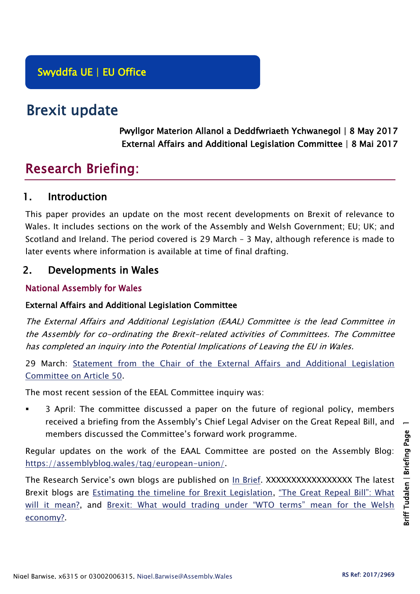## Swyddfa UE | EU Office

# Brexit update

Pwyllgor Materion Allanol a Deddfwriaeth Ychwanegol | 8 May 2017 External Affairs and Additional Legislation Committee | 8 Mai 2017

## Research Briefing:

## 1. Introduction

This paper provides an update on the most recent developments on Brexit of relevance to Wales. It includes sections on the work of the Assembly and Welsh Government; EU; UK; and Scotland and Ireland. The period covered is 29 March – 3 May, although reference is made to later events where information is available at time of final drafting.

## 2. Developments in Wales

## National Assembly for Wales

### External Affairs and Additional Legislation Committee

The External Affairs and Additional Legislation (EAAL) Committee is the lead Committee in the Assembly for co-ordinating the Brexit-related activities of Committees. The Committee has completed an inquiry into the Potential Implications of Leaving the EU in Wales.

29 March: [Statement from the Chair of the External Affairs and Additional Legislation](http://www.assembly.wales/en/newhome/pages/newsitem.aspx?itemid=1704&assembly=5)  [Committee on Article 50.](http://www.assembly.wales/en/newhome/pages/newsitem.aspx?itemid=1704&assembly=5)

The most recent session of the EEAL Committee inquiry was:

 3 April: The committee discussed a paper on the future of regional policy, members received a briefing from the Assembly's Chief Legal Adviser on the Great Repeal Bill, and members discussed the Committee's forward work programme.

Regular updates on the work of the EAAL Committee are posted on the Assembly Blog: [https://assemblyblog.wales/tag/european-union/.](https://assemblyblog.wales/tag/european-union/)

The Research Service's own blogs are published on [In Brief.](https://assemblyinbrief.wordpress.com/) XXXXXXXXXXXXXXXXX The latest Brexit blogs are [Estimating the timeline for Brexit Legislation,](https://assemblyinbrief.wordpress.com/2017/04/25/estimating-the-timeline-for-brexit-legislation/) "The Great Repeal Bill": What [will it mean?,](https://assemblyinbrief.wordpress.com/2017/04/10/the-great-repeal-bill-what-will-it-mean/) and [Brexit: What would trading under "WTO terms" mean for the Welsh](https://assemblyinbrief.wordpress.com/2017/04/07/brexit-what-would-trading-under-wto-terms-mean-for-the-welsh-economy/)  [economy?.](https://assemblyinbrief.wordpress.com/2017/04/07/brexit-what-would-trading-under-wto-terms-mean-for-the-welsh-economy/)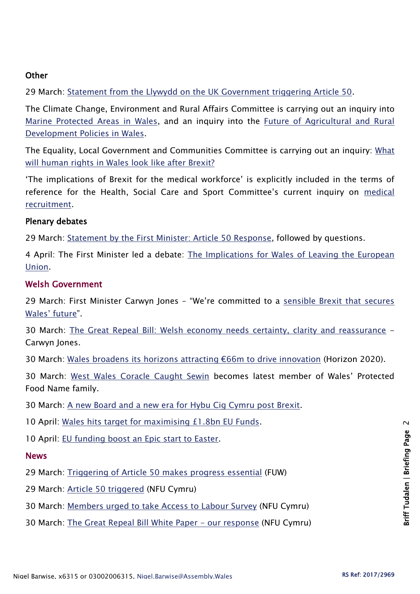#### **Other**

29 March: [Statement from the Llywydd on the UK Government triggering Article 50.](http://www.assembly.wales/en/newhome/pages/newsitem.aspx?itemid=1702&assembly=5)

The Climate Change, Environment and Rural Affairs Committee is carrying out an inquiry into [Marine Protected Areas in Wales,](http://senedd.assembly.wales/mgIssueHistoryHome.aspx?IId=16663) and an inquiry into the [Future of Agricultural and Rural](http://senedd.assembly.wales/mgIssueHistoryHome.aspx?IId=15876)  [Development Policies in Wales.](http://senedd.assembly.wales/mgIssueHistoryHome.aspx?IId=15876)

The Equality, Local Government and Communities Committee is carrying out an inquiry: [What](http://senedd.assembly.wales/mgConsultationDisplay.aspx?id=244&RPID=1008299204&cp=yes)  [will human rights in Wales look like after Brexit?](http://senedd.assembly.wales/mgConsultationDisplay.aspx?id=244&RPID=1008299204&cp=yes)

'The implications of Brexit for the medical workforce' is explicitly included in the terms of reference for the Health, Social Care and Sport Committee's current inquiry on medical [recruitment.](http://senedd.assembly.wales/mgIssueHistoryHome.aspx?IId=16122)

#### Plenary debates

29 March: [Statement by the First Minister: Article 50 Response,](http://www.assembly.wales/en/bus-home/pages/rop.aspx?meetingid=4259&assembly=5&c=Record%20of%20Proceedings#465623) followed by questions.

4 April: The First Minister led a debate: The Implications for Wales of Leaving the European [Union.](http://www.assembly.wales/en/bus-home/pages/rop.aspx?meetingid=4260&assembly=5&c=Record%20of%20Proceedings#467105)

#### Welsh Government

29 March: First Minister Carwyn Jones – "We're committed to a [sensible Brexit that secures](http://gov.wales/newsroom/firstminister/2017/170329brexit/?lang=en)  [Wales' future"](http://gov.wales/newsroom/firstminister/2017/170329brexit/?lang=en).

30 March: [The Great Repeal Bill: Welsh economy needs certainty, clarity and reassurance](http://gov.wales/newsroom/firstminister/2017/170330-great-repeal-bill/?lang=en) - Carwyn Jones.

30 March: [Wales broadens its horizons attracting €66m to drive innovation](http://gov.wales/newsroom/finance1/2017/wales-broadens-its-horizons-attracting-66m-to-drive-innovation/?lang=en) (Horizon 2020).

30 March: [West Wales Coracle Caught Sewin](http://gov.wales/newsroom/environmentandcountryside/2017/170330-west-wales-coracle-caught-sewin-protected-food-name/?lang=en) becomes latest member of Wales' Protected Food Name family.

30 March: [A new Board and a new era for Hybu Cig Cymru post Brexit.](http://gov.wales/newsroom/environmentandcountryside/2017/170330-a-new-board-and-a-new-era-for-hcc/?lang=en)

10 April: [Wales hits target for maximising £1.8bn EU Funds.](http://gov.wales/newsroom/finance1/2017/170410eu/?lang=en)

10 April: [EU funding boost an Epic start to Easter.](http://gov.wales/newsroom/culture-tourism-sport/2017/170411-eu-funding-boost-an-epic-start-to-easter/?lang=en)

#### **News**

29 March: [Triggering of Article 50 makes progress essential](http://fuw.org.uk/triggering-of-article-50-makes-progress-essential/) (FUW)

- 29 March: [Article 50 triggered](https://www.nfu-cymru.org.uk/news/latest-news/article-50-triggered/) (NFU Cymru)
- 30 March: [Members urged to take Access to Labour Survey](https://www.nfu-cymru.org.uk/news/latest-news/members-urged-to-take-access-to-labour-survey/) (NFU Cymru)
- 30 March: [The Great Repeal Bill White Paper -](https://www.nfu-cymru.org.uk/news/latest-news/the-great-repeal-bill-white-paper-our-response/) our response (NFU Cymru)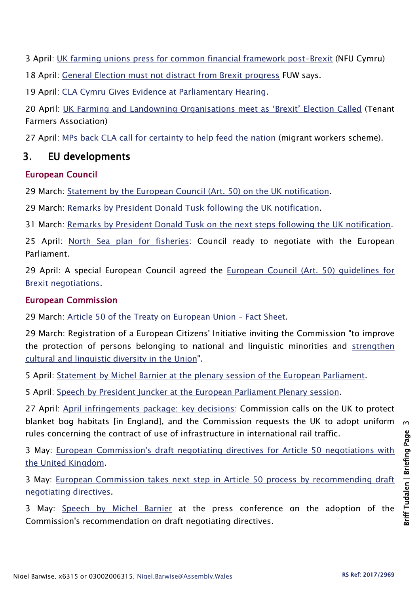3 April: UK farming unions press for [common financial framework post-Brexit](https://www.nfu-cymru.org.uk/news/latest-news/uk-farming-unions-press-for-common-financial-framework-post-brexit/) (NFU Cymru)

18 April: [General Election must not distract from Brexit progress](http://fuw.org.uk/general-election-must-not-distract-from-brexit-progress-fuw-says/) FUW says.

19 April: [CLA Cymru Gives Evidence at Parliamentary Hearing.](http://www.cla.org.uk/node/10495)

20 April: UK Farming and Landowning Org[anisations meet as 'Brexit' Election Called](http://www.tfa.org.uk/tfa-media-release-mr1712-uk-farming-and-landowning-organisations-meet-as-brexit-election-called/) (Tenant Farmers Association)

27 April: [MPs back CLA call for certainty to help feed the nation](http://www.cla.org.uk/node/10533) (migrant workers scheme).

## 3. EU developments

#### European Council

29 March: [Statement by the European Council \(Art. 50\) on the UK notification.](http://www.consilium.europa.eu/en/press/press-releases/2017/03/29-euco-50-statement-uk-notification/)

29 March: [Remarks by President Donald Tusk following the UK notification.](http://www.consilium.europa.eu/en/press/press-releases/2017/03/29-tusk-remarks-uk-notification/)

31 March: [Remarks by President Donald Tusk on the next steps following the UK notification.](http://www.consilium.europa.eu/en/press/press-releases/2017/03/31-tusk-remarks-meeting-muscat-malta/)

25 April: [North Sea plan for fisheries:](http://www.consilium.europa.eu/en/press/press-releases/2017/04/25-north-sea-plan-for-fisheries/) Council ready to negotiate with the European Parliament.

29 April: A special European Council agreed the [European Council \(Art. 50\) guidelines for](http://www.consilium.europa.eu/en/press/press-releases/2017/04/29-euco-brexit-guidelines/)  [Brexit negotiations.](http://www.consilium.europa.eu/en/press/press-releases/2017/04/29-euco-brexit-guidelines/)

#### European Commission

29 March: [Article 50 of the Treaty on European Union](http://europa.eu/rapid/press-release_MEMO-17-648_en.htm) – Fact Sheet.

29 March: Registration of a European Citizens' Initiative inviting the Commission "to improve the protection of persons belonging to national and linguistic minorities and [strengthen](http://europa.eu/rapid/press-release_IP-17-776_en.htm)  [cultural and linguistic diversity in the Union"](http://europa.eu/rapid/press-release_IP-17-776_en.htm).

5 April: [Statement by Michel Barnier at the plenary session of the European Parliament.](http://europa.eu/rapid/press-release_SPEECH-17-881_en.htm)

5 April: [Speech by President Juncker at the European Parliament Plenary session.](http://europa.eu/rapid/press-release_SPEECH-17-884_en.htm)

27 April: [April infringements package: key decisions:](http://europa.eu/rapid/press-release_MEMO-17-1045_en.htm) Commission calls on the UK to protect blanket bog habitats [in England], and the Commission requests the UK to adopt uniform rules concerning the contract of use of infrastructure in international rail traffic.

3 May: [European Commission's draft negotiating directives for Article 50 negotiations with](http://europa.eu/rapid/press-release_MEMO-17-1183_en.htm)  [the United Kingdom.](http://europa.eu/rapid/press-release_MEMO-17-1183_en.htm)

3 May: [European Commission takes next step in Article 50 process by recommending draft](http://europa.eu/rapid/press-release_IP-17-1170_en.htm)  [negotiating directives.](http://europa.eu/rapid/press-release_IP-17-1170_en.htm)

3 May: [Speech by Michel Barnier](http://europa.eu/rapid/press-release_SPEECH-17-1205_en.htm) at the press conference on the adoption of the Commission's recommendation on draft negotiating directives.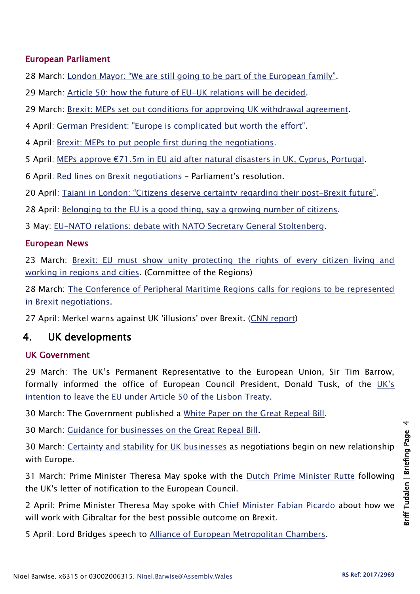#### European Parliament

28 March: [London Mayor: "We are still going to be part of the European family"](http://www.europarl.europa.eu/news/en/news-room/20170324STO68407/london-mayor-%E2%80%9Cwe-are-still-going-to-be-part-of-the-european-family%E2%80%9D).

29 March: [Article 50: how the future of EU-UK relations will be decided.](http://www.europarl.europa.eu/news/en/news-room/20170324STO68408/article-50-how-the-future-of-eu-uk-relations-will-be-decided)

29 March: [Brexit: MEPs set out conditions for approving UK withdrawal agreement.](http://www.europarl.europa.eu/news/en/news-room/20170329IPR69014/brexit-meps-set-out-conditions-for-approving-uk-withdrawal-agreement)

4 April: [German President: "Europe is complicated but worth the effort".](http://www.europarl.europa.eu/news/en/news-room/20170331STO69302/german-president-europe-is-complicated-but-worth-the-effort)

4 April: [Brexit: MEPs to put people first during the negotiations.](http://www.europarl.europa.eu/news/en/news-room/20170331STO69304/brexit-meps-to-put-people-first-during-the-negotiations)

5 April: [MEPs approve €71.5m in EU aid after natural disasters in UK, Cyprus, Portugal](http://www.europarl.europa.eu/news/en/news-room/20170329IPR69068/meps-approve-%E2%82%AC71.5m-in-eu-aid-after-natural-disasters-in-uk-cyprus-portugal).

6 April: [Red lines on Brexit negotiations](http://www.europarl.europa.eu/news/en/news-room/20170329IPR69054/red-lines-on-brexit-negotiations) – Parliament's resolution.

20 April: [Tajani in London: "Citizens deserve certainty regarding their](http://www.europarl.europa.eu/news/en/news-room/20170420STO71817/tajani-in-london-%E2%80%9Cpeople-deserve-certainty-regarding-their-post-brexit-future%E2%80%9D) post-Brexit future".

28 April: [Belonging to the EU is a good thing, say a growing number of citizens.](http://www.europarl.europa.eu/news/en/news-room/20170427IPR72790/belonging-to-the-eu-is-a-good-thing-say-a-growing-number-of-citizens)

3 May: [EU-NATO relations: debate with NATO Secretary General Stoltenberg.](http://www.europarl.europa.eu/news/en/news-room/20170502IPR73163/eu-nato-relations-debate-with-nato-secretary-general-stoltenberg-on-wednesday)

#### European News

23 March: [Brexit: EU must show unity protecting the rights of every citizen living and](http://cor.europa.eu/en/news/Pages/Brexit-EU-must-show-unity-protecting-the-rights-of-every-citizen-living-and-working-in-regions-and-cities.aspx)  [working in regions and cities.](http://cor.europa.eu/en/news/Pages/Brexit-EU-must-show-unity-protecting-the-rights-of-every-citizen-living-and-working-in-regions-and-cities.aspx) (Committee of the Regions)

28 March: [The Conference of Peripheral Maritime Regions calls for regions to be represented](http://cpmr.org/cohesion/cpmr-calls-for-regions-to-be-represented-in-brexit-negotiations/11809/)  [in Brexit negotiations.](http://cpmr.org/cohesion/cpmr-calls-for-regions-to-be-represented-in-brexit-negotiations/11809/)

27 April: Merkel warns against UK 'illusions' over Brexit. [\(CNN report\)](http://edition.cnn.com/2017/04/27/europe/brexit-germany-merkel-uk/)

## 4. UK developments

#### UK Government

29 March: The UK's Permanent Representative to the European Union, Sir Tim Barrow, formally informed the office of European Council President, Donald Tusk, of the [UK's](https://www.gov.uk/government/publications/prime-ministers-letter-to-donald-tusk-triggering-article-50/prime-ministers-letter-to-donald-tusk-triggering-article-50)  [intention to leave the EU under](https://www.gov.uk/government/publications/prime-ministers-letter-to-donald-tusk-triggering-article-50/prime-ministers-letter-to-donald-tusk-triggering-article-50) Article 50 of the Lisbon Treaty.

30 March: The Government published a [White Paper on the Great Repeal Bill.](https://www.gov.uk/government/uploads/system/uploads/attachment_data/file/604516/Great_repeal_bill_white_paper_accessible.pdf)

30 March: [Guidance for businesses on the Great Repeal Bill.](https://www.gov.uk/guidance/guidance-for-businesses-on-the-great-repeal-bill)

30 March: [Certainty and stability for UK businesses](https://www.gov.uk/government/news/certainty-and-stability-for-uk-businesses-as-negotiations-begin-on-new-relationship-with-europe) as negotiations begin on new relationship with Europe.

31 March: Prime Minister Theresa May spoke with the **[Dutch Prime Minister Rutte](https://www.gov.uk/government/news/pm-call-with-prime-minister-rutte-of-the-netherlands-30-march-2017)** following the UK's letter of notification to the European Council.

2 April: Prime Minister Theresa May spoke with [Chief Minister Fabian Picardo](https://www.gov.uk/government/news/pm-call-with-chief-minister-of-gibraltar-2-april-2017) about how we will work with Gibraltar for the best possible outcome on Brexit.

5 April: Lord Bridges speech to [Alliance of European Metropolitan Chambers.](https://www.gov.uk/government/news/lord-bridges-speech-to-alliance-of-european-metropolitan-chambers)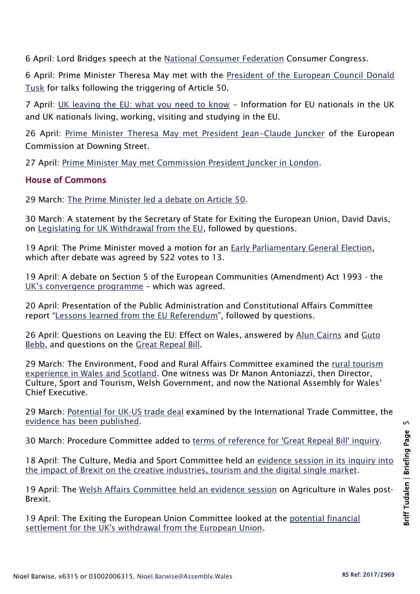6 April: Lord Bridges speech at the [National Consumer Federation](https://www.gov.uk/government/news/lord-bridges-speech-at-the-ncf-consumer-congress) Consumer Congress.

6 April: Prime Minister Theresa May met with the [President of the European Council Donald](https://www.gov.uk/government/news/pm-meeting-with-donald-tusk-6-april-2017)  [Tusk](https://www.gov.uk/government/news/pm-meeting-with-donald-tusk-6-april-2017) for talks following the triggering of Article 50.

7 April: [UK leaving the EU: what you need to know](https://www.gov.uk/government/collections/uk-leaving-the-eu-what-you-need-to-know) - Information for EU nationals in the UK and UK nationals living, working, visiting and studying in the EU.

26 April: [Prime Minister Theresa May met President Jean-Claude Juncker](https://www.gov.uk/government/news/pm-meeting-with-european-commission-president-27-april-2017) of the European Commission at Downing Street.

27 April: [Prime Minister May met Commission President Juncker in London.](https://www.gov.uk/government/news/pm-meeting-with-european-commission-president-27-april-2017)

#### House of Commons

29 March: [The Prime Minister led a debate on Article 50.](https://hansard.parliament.uk/commons/2017-03-29/debates/A6DFE4A0-6AB1-4B71-BF25-376F52AF3300/Article50)

30 March: A statement by the Secretary of State for Exiting the European Union, David Davis, on [Legislating for UK Withdrawal from the EU,](https://hansard.parliament.uk/commons/2017-03-30/debates/A665E6EB-D36B-4D19-9173-3577354DE7F0/LegislatingForUKWithdrawalFromTheEU) followed by questions.

19 April: The Prime Minister moved a motion for an [Early Parliamentary General Election,](https://hansard.parliament.uk/commons/2017-04-19/debates/0DE53CE3-2E92-44E8-A3BE-A7BEE2D9F075/EarlyParliamentaryGeneralElection) which after debate was agreed by 522 votes to 13.

19 April: A debate on Section 5 of the European Communities (Amendment) Act 1993 - the [UK's convergence programme](https://hansard.parliament.uk/commons/2017-04-19/debates/797D75EE-9256-4B7F-A02D-394EE7D3A7D7/Section5OfTheEuropeanCommunities(Amendment)Act1993) – which was agreed.

20 April: Presentation of the Public Administration and Constitutional Affairs Committee report "[Lessons learned from the EU Referendum](https://hansard.parliament.uk/commons/2017-04-20/debates/10B7A67D-F4F8-4F4D-B068-343BF9431E07/PublicAdministrationAndConstitutionalAffairsCommittee)", followed by questions.

26 April: Questions on Leaving the EU: Effect on Wales, answered by [Alun Cairns](https://hansard.parliament.uk/commons/2017-04-26/debates/648978CC-2EC2-44CE-810D-2C694F10C338/LeavingTheEUEffectOnWales) and Guto [Bebb,](https://hansard.parliament.uk/commons/2017-04-26/debates/4772CC2F-ADDB-49FC-A56B-ECDBE31AAB80/LeavingTheEUEffectOnWales) and questions on the [Great Repeal Bill.](https://hansard.parliament.uk/commons/2017-04-26/debates/71288D2F-FEAA-43F1-A580-3C4654556E6F/GreatRepealBill)

29 March: The Environment, Food and Rural Affairs Committee examined the [rural tourism](http://www.parliament.uk/business/committees/committees-a-z/commons-select/environment-food-and-rural-affairs-committee/news-parliament-2015/rural-tourism-ev6-16-17/)  [experience in Wales and Scotland.](http://www.parliament.uk/business/committees/committees-a-z/commons-select/environment-food-and-rural-affairs-committee/news-parliament-2015/rural-tourism-ev6-16-17/) One witness was Dr Manon Antoniazzi, then Director, Culture, Sport and Tourism, Welsh Government, and now the National Assembly for Wales' Chief Executive.

29 March: [Potential for UK-US trade deal](http://www.parliament.uk/business/committees/committees-a-z/commons-select/international-trade-committee/news-parliament-2015/uk-us-trade-britishamerican-evidence-16-17/) examined by the International Trade Committee, the [evidence has been published.](http://www.parliament.uk/business/committees/committees-a-z/commons-select/international-trade-committee/inquiries/parliament-2015/uk-us-trade-16-17/)

30 March: Procedure Committee added to [terms of reference for 'Great Repeal Bill' inquiry.](http://www.parliament.uk/business/committees/committees-a-z/commons-select/procedure-committee/news-parliament-2015/delegated-powers-great-repeal-bill-updated-terms-16-17/)

18 April: The Culture, Media and Sport Committee held an [evidence session in its inquiry into](http://data.parliament.uk/writtenevidence/committeeevidence.svc/evidencedocument/culture-media-and-sport-committee/impact-of-brexit/oral/69155.html)  [the impact of Brexit on the creative industries, tourism and the digital single market.](http://data.parliament.uk/writtenevidence/committeeevidence.svc/evidencedocument/culture-media-and-sport-committee/impact-of-brexit/oral/69155.html)

19 April: The [Welsh Affairs Committee held an evidence session](http://www.parliament.uk/business/committees/committees-a-z/commons-select/welsh-affairs-committee/inquiries/parliament-2015/inquiry1/) on Agriculture in Wales post-Brexit.

19 April: The Exiting the European Union Committee looked at the [potential financial](http://www.parliament.uk/business/committees/committees-a-z/commons-select/exiting-the-european-union-committee/news-parliament-2015/potential-financial-settlement-for-eu-withdrawal-evidence-16-17/)  [settlement for the UK's withdrawal from the European Union.](http://www.parliament.uk/business/committees/committees-a-z/commons-select/exiting-the-european-union-committee/news-parliament-2015/potential-financial-settlement-for-eu-withdrawal-evidence-16-17/)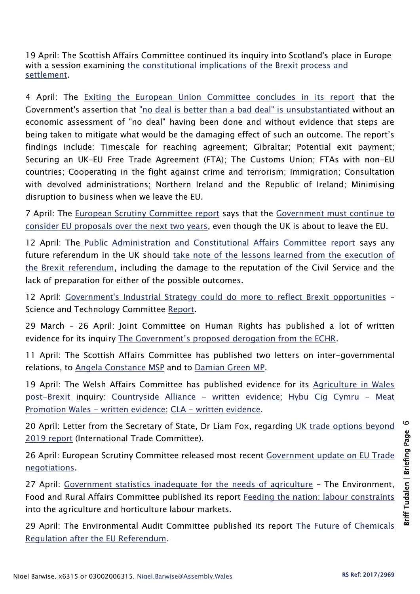19 April: The Scottish Affairs Committee continued its inquiry into Scotland's place in Europe with a session examining the constitutional implications of the Brexit process and [settlement.](http://www.parliament.uk/business/committees/committees-a-z/commons-select/scottish-affairs-committee/news-parliament-2015/scotland-place-europe-constitutional-evidence-16-17/)

4 April: The [Exiting the European Union Committee concludes in its report](https://www.publications.parliament.uk/pa/cm201617/cmselect/cmexeu/1125/112502.htm) that the Government's assertion that ["no deal is better than a bad deal" is unsubstantiated](http://www.parliament.uk/business/committees/committees-a-z/commons-select/exiting-the-european-union-committee/news-parliament-2015/brexit-white-paper-report-published-16-17/) without an economic assessment of "no deal" having been done and without evidence that steps are being taken to mitigate what would be the damaging effect of such an outcome. The report's findings include: Timescale for reaching agreement; Gibraltar; Potential exit payment; Securing an UK–EU Free Trade Agreement (FTA); The Customs Union; FTAs with non-EU countries; Cooperating in the fight against crime and terrorism; Immigration; Consultation with devolved administrations; Northern Ireland and the Republic of Ireland; Minimising disruption to business when we leave the EU.

7 April: The [European Scrutiny Committee report](http://www.publications.parliament.uk/pa/cm201617/cmselect/cmeuleg/1124/112402.htm) says that the [Government must continue to](http://www.parliament.uk/business/committees/committees-a-z/commons-select/european-scrutiny-committee/news-parliament-20151/brexit-scrutiny-system-report-published-16-17/)  [consider EU proposals over the next two years,](http://www.parliament.uk/business/committees/committees-a-z/commons-select/european-scrutiny-committee/news-parliament-20151/brexit-scrutiny-system-report-published-16-17/) even though the UK is about to leave the EU.

12 April: The [Public Administration and Constitutional Affairs Committee report](https://www.publications.parliament.uk/pa/cm201617/cmselect/cmpubadm/496/49602.htm) says any future referendum in the UK should [take note of the lessons learned from the execution of](http://www.parliament.uk/business/committees/committees-a-z/commons-select/public-administration-and-constitutional-affairs-committee/news-parliament-2015/lessons-learned-from-eu-ref-16-17/)  [the Brexit referendum,](http://www.parliament.uk/business/committees/committees-a-z/commons-select/public-administration-and-constitutional-affairs-committee/news-parliament-2015/lessons-learned-from-eu-ref-16-17/) including the damage to the reputation of the Civil Service and the lack of preparation for either of the possible outcomes.

12 April: [Government's Industrial Strategy could do more to reflect Brexit opportunities](http://www.parliament.uk/business/committees/committees-a-z/commons-select/science-and-technology-committee/news-parliament-2015/industrial-strategy-report-published-16-17/) – Science and Technology Committee [Report.](https://www.publications.parliament.uk/pa/cm201617/cmselect/cmsctech/991/99102.htm)

29 March – 26 April: Joint Committee on Human Rights has published a lot of written evidence for its inquiry [The Government's proposed derogation from the ECHR](http://www.parliament.uk/business/committees/committees-a-z/joint-select/human-rights-committee/inquiries/parliament-2015/government-proposed-echr-derogation-16-17/publications/).

11 April: The Scottish Affairs Committee has published two letters on inter-governmental relations, to [Angela Constance MSP](https://www.publications.parliament.uk/pa/cm201617/cmselect/cmscotaf/Joint-Letter-to-Angela-Constance-MSP.PDF) and to [Damian Green MP.](https://www.publications.parliament.uk/pa/cm201617/cmselect/cmscotaf/Joint-Letter-to-Rt-Hon-Damian-Green-MP.PDF)

19 April: The Welsh Affairs Committee has published evidence for its [Agriculture in Wales](http://www.parliament.uk/business/committees/committees-a-z/commons-select/welsh-affairs-committee/inquiries/parliament-2015/inquiry1/publications/)  [post-Brexit](http://www.parliament.uk/business/committees/committees-a-z/commons-select/welsh-affairs-committee/inquiries/parliament-2015/inquiry1/publications/) inquiry: [Countryside Alliance -](http://data.parliament.uk/writtenevidence/committeeevidence.svc/evidencedocument/welsh-affairs-committee/agriculture-in-wales-postbrexit/written/68874.html) written evidence; [Hybu Cig Cymru -](http://data.parliament.uk/writtenevidence/committeeevidence.svc/evidencedocument/welsh-affairs-committee/agriculture-in-wales-postbrexit/written/49758.html) Meat [Promotion Wales -](http://data.parliament.uk/writtenevidence/committeeevidence.svc/evidencedocument/welsh-affairs-committee/agriculture-in-wales-postbrexit/written/49758.html) written evidence; CLA - [written evidence.](http://data.parliament.uk/writtenevidence/committeeevidence.svc/evidencedocument/welsh-affairs-committee/agriculture-in-wales-postbrexit/written/49735.html)

20 April: Letter from the Secretary of State, Dr Liam Fox, regarding UK trade options beyond [2019 report](http://www.parliament.uk/documents/commons-committees/international-trade/correspondence/letter-liam-fox-uk-trade-options-200417.pdf) (International Trade Committee).

26 April: European Scrutiny Committee released most recent [Government update on EU Trade](http://www.parliament.uk/documents/commons-committees/european-scrutiny/letter-chair-lord-price-eu-trade-policy-290317.pdf)  [negotiations.](http://www.parliament.uk/documents/commons-committees/european-scrutiny/letter-chair-lord-price-eu-trade-policy-290317.pdf)

27 April: [Government statistics inadequate for the needs of agriculture](http://www.parliament.uk/business/committees/committees-a-z/commons-select/environment-food-and-rural-affairs-committee/news-parliament-2015/feeding-the-nation-labour-constraints-report-published-16-17/) – The Environment, Food and Rural Affairs Committee published its report [Feeding the nation: labour constraints](https://www.publications.parliament.uk/pa/cm201617/cmselect/cmenvfru/1009/100902.htm) into the agriculture and horticulture labour markets.

29 April: The Environmental Audit Committee published its report [The Future of Chemicals](https://www.publications.parliament.uk/pa/cm201617/cmselect/cmenvaud/912/91202.htm)  [Regulation after the EU Referendum.](https://www.publications.parliament.uk/pa/cm201617/cmselect/cmenvaud/912/91202.htm)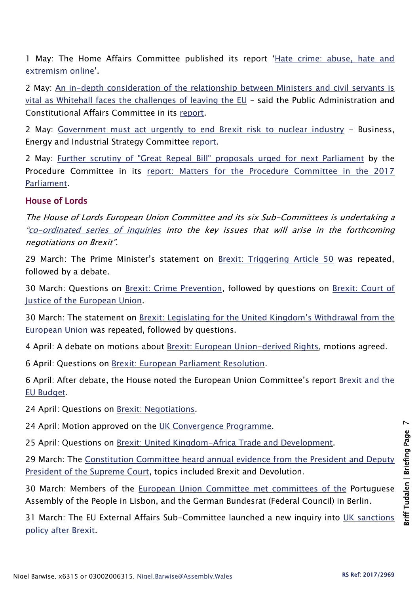1 May: The Home Affairs Committee published its report '[Hate crime: abuse, hate and](https://www.publications.parliament.uk/pa/cm201617/cmselect/cmhaff/609/60902.htm)  [extremism online](https://www.publications.parliament.uk/pa/cm201617/cmselect/cmhaff/609/60902.htm)'.

2 May: An in-depth consideration of the [relationship between Ministers and civil servants is](http://www.parliament.uk/business/committees/committees-a-z/commons-select/public-administration-and-constitutional-affairs-committee/news-parliament-2015/work-of-civil-service-report-published-16-17/)  [vital as Whitehall faces the challenges of leaving the EU](http://www.parliament.uk/business/committees/committees-a-z/commons-select/public-administration-and-constitutional-affairs-committee/news-parliament-2015/work-of-civil-service-report-published-16-17/) – said the Public Administration and Constitutional Affairs Committee in its [report.](https://www.publications.parliament.uk/pa/cm201617/cmselect/cmpubadm/253/25302.htm)

2 May: [Government must act urgently to end Brexit risk to nuclear industry](http://www.parliament.uk/business/committees/committees-a-z/commons-select/business-energy-industrial-strategy/news-parliament-2015/leaving-eu-energy-climate-change-report-published-16-17/) - Business, Energy and Industrial Strategy Committee [report.](https://www.publications.parliament.uk/pa/cm201617/cmselect/cmbeis/909/90902.htm)

2 May: [Further scrutiny of "Great Repeal Bill" proposals urged for next Parliament](http://www.parliament.uk/business/committees/committees-a-z/commons-select/procedure-committee/news-parliament-2015/matters-2017-parliament-report-published-16-17/) by the Procedure Committee in its [report: Matters for the Procedure Committee in the 2017](https://www.publications.parliament.uk/pa/cm201617/cmselect/cmproced/1091/109102.htm)  [Parliament.](https://www.publications.parliament.uk/pa/cm201617/cmselect/cmproced/1091/109102.htm)

### House of Lords

The House of Lords European Union Committee and its six Sub-Committees is undertaking a "[co-ordinated series of inquiries](http://www.parliament.uk/business/committees/committees-a-z/lords-select/eu-select-committee-/news-parliament-2015/co-ordinated-inquries-launch/) into the key issues that will arise in the forthcoming negotiations on Brexit".

29 March: The Prime Minister's statement on [Brexit: Triggering Article 50](https://hansard.parliament.uk/Lords/2017-03-29/debates/53857240-7DF2-4D53-A4E3-EF8AFBD95791/BrexitTriggeringArticle50) was repeated, followed by a debate.

30 March: Questions on [Brexit: Crime Prevention,](https://hansard.parliament.uk/Lords/2017-03-30/debates/4E32CE56-38AC-4402-A284-682259985E69/BrexitCrimePrevention) followed by questions on Brexit: Court of [Justice of the European Union.](https://hansard.parliament.uk/Lords/2017-03-30/debates/25443FFF-EE66-4626-A250-FEA493E1428F/BrexitCourtOfJusticeOfTheEuropeanUnion)

30 March: The statement on [Brexit: Legislating for the United Kingdom's Withdrawal from the](https://hansard.parliament.uk/Lords/2017-03-30/debates/B3DB0A82-986F-462D-A27E-F2C3147A7FD5/BrexitLegislatingForTheUnitedKingdom%E2%80%99SWithdrawalFromTheEuropeanUnion)  [European Union](https://hansard.parliament.uk/Lords/2017-03-30/debates/B3DB0A82-986F-462D-A27E-F2C3147A7FD5/BrexitLegislatingForTheUnitedKingdom%E2%80%99SWithdrawalFromTheEuropeanUnion) was repeated, followed by questions.

4 April: A debate on motions about [Brexit: European Union-derived Rights,](https://hansard.parliament.uk/Lords/2017-04-04/debates/74F24E0F-131E-45E1-AB74-7AA08E43FBE6/BrexitEuropeanUnion-DerivedRights) motions agreed.

6 April: Questions on [Brexit: European Parliament Resolution.](https://hansard.parliament.uk/Lords/2017-04-06/debates/F697BBA8-48D1-4630-8391-27FEFC66565B/BrexitEuropeanParliamentResolution)

6 April: After debate, the House noted the European Union Committee's report [Brexit and the](https://hansard.parliament.uk/Lords/2017-04-06/debates/1BF99F95-8AA8-48D8-8C96-ECE7B9C96DF5/BrexitAndTheEUBudget(EUCReport))  [EU Budget.](https://hansard.parliament.uk/Lords/2017-04-06/debates/1BF99F95-8AA8-48D8-8C96-ECE7B9C96DF5/BrexitAndTheEUBudget(EUCReport))

24 April: Questions on [Brexit: Negotiations.](https://hansard.parliament.uk/Lords/2017-04-24/debates/BB35BAE6-F869-4A05-A07C-1F133440294D/BrexitNegotiations)

24 April: Motion approved on the [UK Convergence Programme.](https://hansard.parliament.uk/Lords/2017-04-24/debates/E695548C-7DC0-4F83-BB62-8E74CE22D3A0/UKConvergenceProgramme)

25 April: Questions on [Brexit: United Kingdom-Africa Trade and Development.](https://hansard.parliament.uk/Lords/2017-04-25/debates/E66A5C52-B290-4E1B-9971-111875E66B2B/BrexitUnitedKingdom-AfricaTradeAndDevelopment)

29 March: The Constitution [Committee heard annual evidence from the President and Deputy](http://www.parliament.uk/business/committees/committees-a-z/lords-select/constitution-committee/news-parliament-2015/president-supreme-court-2017/)  [President of the Supreme Court,](http://www.parliament.uk/business/committees/committees-a-z/lords-select/constitution-committee/news-parliament-2015/president-supreme-court-2017/) topics included Brexit and Devolution.

30 March: Members of the [European Union Committee met committees of the](http://www.parliament.uk/business/committees/committees-a-z/lords-select/eu-select-committee-/news-parliament-2015/lisbon-berlin-eu-select-visits/) Portuguese Assembly of the People in Lisbon, and the German Bundesrat (Federal Council) in Berlin.

31 March: The EU External Affairs Sub-Committee launched a new inquiry into [UK sanctions](http://www.parliament.uk/business/committees/committees-a-z/lords-select/eu-external-affairs-subcommittee/news-parliament-2015/brexit-sanctions-policy-inquiry-launch/)  [policy after Brexit.](http://www.parliament.uk/business/committees/committees-a-z/lords-select/eu-external-affairs-subcommittee/news-parliament-2015/brexit-sanctions-policy-inquiry-launch/)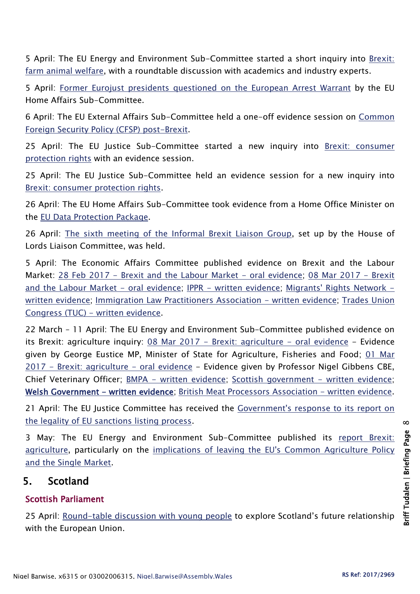5 April: The EU Energy and Environment Sub-Committee started a short inquiry into [Brexit:](http://www.parliament.uk/business/committees/committees-a-z/lords-select/eu-energy-environment-subcommittee/news-parliament-2015/brexit-farm-animal-welfare-roundtable/)  [farm animal welfare,](http://www.parliament.uk/business/committees/committees-a-z/lords-select/eu-energy-environment-subcommittee/news-parliament-2015/brexit-farm-animal-welfare-roundtable/) with a roundtable discussion with academics and industry experts.

5 April: [Former Eurojust presidents questioned on the European Arrest Warrant](http://data.parliament.uk/writtenevidence/committeeevidence.svc/evidencedocument/eu-home-affairs-subcommittee/brexit-the-european-arrest-warrant/oral/68837.html) by the EU Home Affairs Sub-Committee.

6 April: The EU External Affairs Sub-Committee held a one-off evidence session on [Common](http://www.parliament.uk/business/committees/committees-a-z/lords-select/eu-external-affairs-subcommittee/news-parliament-2015/academics-common-foreign-security-policy/)  [Foreign Security Policy \(CFSP\) post-Brexit.](http://www.parliament.uk/business/committees/committees-a-z/lords-select/eu-external-affairs-subcommittee/news-parliament-2015/academics-common-foreign-security-policy/)

25 April: The EU Justice Sub-Committee started a new inquiry into Brexit: consumer [protection rights](http://www.parliament.uk/business/committees/committees-a-z/lords-select/eu-justice-subcommittee/news-parliament-2015/Brexit-Consumer-Protection-inquiry-launched/) with an evidence session.

25 April: The EU Justice Sub-Committee held an evidence session for a new inquiry into [Brexit: consumer protection rights.](http://www.parliament.uk/business/committees/committees-a-z/lords-select/eu-justice-subcommittee/news-parliament-2015/Brexit-Consumer-Protection-inquiry-launched/)

26 April: The EU Home Affairs Sub-Committee took evidence from a Home Office Minister on the [EU Data Protection Package.](http://www.parliament.uk/business/committees/committees-a-z/lords-select/eu-home-affairs-subcommittee/news-parliament-2015/home-office-data-protection/)

26 April: [The sixth meeting of the Informal Brexit Liaison Group,](http://www.parliament.uk/business/committees/committees-a-z/lords-select/liaison-committee/news-parliament-2015/sixth-brexit-liaison-group-meeting-260417/) set up by the House of Lords Liaison Committee, was held.

5 April: The Economic Affairs Committee published evidence on Brexit and the Labour Market: 28 Feb 2017 - [Brexit and the Labour Market -](http://data.parliament.uk/writtenevidence/committeeevidence.svc/evidencedocument/economic-affairs-committee/brexit-and-the-labour-market/oral/48754.html) oral evidence; [08 Mar 2017 -](http://data.parliament.uk/writtenevidence/committeeevidence.svc/evidencedocument/economic-affairs-committee/brexit-and-the-labour-market/oral/48835.html) Brexit [and the Labour Market -](http://data.parliament.uk/writtenevidence/committeeevidence.svc/evidencedocument/economic-affairs-committee/brexit-and-the-labour-market/oral/48835.html) oral evidence; IPPR - [written evidence;](http://data.parliament.uk/writtenevidence/committeeevidence.svc/evidencedocument/economic-affairs-committee/brexit-and-the-labour-market/written/47382.html) [Migrants' Rights Network](http://data.parliament.uk/writtenevidence/committeeevidence.svc/evidencedocument/economic-affairs-committee/brexit-and-the-labour-market/written/47385.html)  [written evidence;](http://data.parliament.uk/writtenevidence/committeeevidence.svc/evidencedocument/economic-affairs-committee/brexit-and-the-labour-market/written/47385.html) [Immigration Law Practitioners Association -](http://data.parliament.uk/writtenevidence/committeeevidence.svc/evidencedocument/economic-affairs-committee/brexit-and-the-labour-market/written/47389.html) written evidence; Trades Union [Congress \(TUC\) -](http://data.parliament.uk/writtenevidence/committeeevidence.svc/evidencedocument/economic-affairs-committee/brexit-and-the-labour-market/written/48100.html) written evidence.

22 March – 11 April: The EU Energy and Environment Sub-Committee published evidence on its Brexit: agriculture inquiry: 08 Mar 2017 - [Brexit: agriculture -](http://data.parliament.uk/writtenevidence/committeeevidence.svc/evidencedocument/eu-energy-and-environment-subcommittee/brexit-agriculture/oral/48840.html) oral evidence - Evidence given by George Eustice MP, Minister of State for Agriculture, Fisheries and Food; [01 Mar](http://data.parliament.uk/writtenevidence/committeeevidence.svc/evidencedocument/eu-energy-and-environment-subcommittee/brexit-agriculture/oral/48601.html)  2017 - [Brexit: agriculture -](http://data.parliament.uk/writtenevidence/committeeevidence.svc/evidencedocument/eu-energy-and-environment-subcommittee/brexit-agriculture/oral/48601.html) oral evidence - Evidence given by Professor Nigel Gibbens CBE, Chief Veterinary Officer; **BMPA - written evidence**; Scottish government - [written evidence;](http://data.parliament.uk/writtenevidence/committeeevidence.svc/evidencedocument/eu-energy-and-environment-subcommittee/brexit-agriculture/written/49208.html) [Welsh Government - written evidence;](http://data.parliament.uk/writtenevidence/committeeevidence.svc/evidencedocument/eu-energy-and-environment-subcommittee/brexit-agriculture/written/49021.html) [British Meat Processors Association -](http://data.parliament.uk/writtenevidence/committeeevidence.svc/evidencedocument/eu-energy-and-environment-subcommittee/brexit-agriculture/written/48562.html) written evidence.

21 April: The EU Justice Committee has received the Government's response to its report on [the legality of EU sanctions listing process.](http://www.parliament.uk/business/committees/committees-a-z/lords-select/eu-justice-subcommittee/news-parliament-2015/eu-sanctions-response/)

3 May: The EU Energy and Environment Sub-Committee published its report Brexit: [agriculture,](https://www.publications.parliament.uk/pa/ld201617/ldselect/ldeucom/169/169.pdf) particularly on the [implications of leaving the EU's Common Agriculture Policy](http://www.parliament.uk/business/committees/committees-a-z/lords-select/eu-energy-environment-subcommittee/news-parliament-2015/brexit-agr-rpt/)  [and the Single Market.](http://www.parliament.uk/business/committees/committees-a-z/lords-select/eu-energy-environment-subcommittee/news-parliament-2015/brexit-agr-rpt/)

## 5. Scotland

## Scottish Parliament

25 April: [Round-table discussion with young people](http://www.parliament.scot/parliamentarybusiness/report.aspx?r=10911&i=99818) to explore Scotland's future relationship with the European Union.